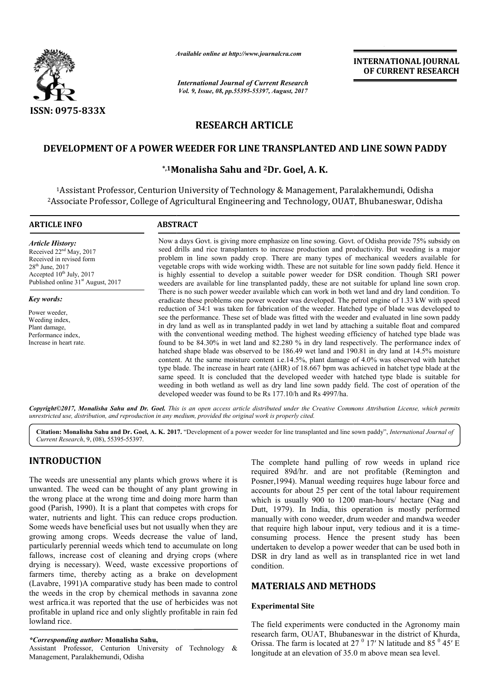

*Available online at http://www.journal http://www.journalcra.com*

*International Journal of Current Research Vol. 9, Issue, 08, pp.55395-55397, August, 2017*

**INTERNATIONAL JOURNAL OF CURRENT RESEARCH** 

# **RESEARCH ARTICLE**

## DEVELOPMENT OF A POWER WEEDER FOR LINE TRANSPLANTED AND LINE SOWN PADDY

## **\*,1Monalisha Sahu and Monalisha 2Dr. Goel, A. K.**

<sup>1</sup>Assistant Professor, Centurion University of Technology & Management, Paralakhemundi, Odisha 2Associate Professor, College of Agricultural Engineering and Technology, OUAT, Bhubaneswar, Odisha Associate

| <b>ARTICLE INFO</b>                                                                                                                                                                                  | <b>ABSTRACT</b>                                                                                                                                                                                                                                                                                                                                                                                                                                                                                                                                                                                                                                                                                                                                                                                                                                                                                                                                                                                                                                                                                                   |
|------------------------------------------------------------------------------------------------------------------------------------------------------------------------------------------------------|-------------------------------------------------------------------------------------------------------------------------------------------------------------------------------------------------------------------------------------------------------------------------------------------------------------------------------------------------------------------------------------------------------------------------------------------------------------------------------------------------------------------------------------------------------------------------------------------------------------------------------------------------------------------------------------------------------------------------------------------------------------------------------------------------------------------------------------------------------------------------------------------------------------------------------------------------------------------------------------------------------------------------------------------------------------------------------------------------------------------|
| <b>Article History:</b><br>Received 22 <sup>nd</sup> May, 2017<br>Received in revised form<br>$28th$ June, $2017$<br>Accepted $10^{th}$ July, 2017<br>Published online 31 <sup>st</sup> August, 2017 | Now a days Govt. is giving more emphasize on line sowing. Govt. of Odisha provide 75% subsidy on<br>seed drills and rice transplanters to increase production and productivity. But weeding is a major<br>problem in line sown paddy crop. There are many types of mechanical weeders available for<br>vegetable crops with wide working width. These are not suitable for line sown paddy field. Hence it<br>is highly essential to develop a suitable power weeder for DSR condition. Though SRI power<br>weeders are available for line transplanted paddy, these are not suitable for upland line sown crop.                                                                                                                                                                                                                                                                                                                                                                                                                                                                                                  |
| <b>Key words:</b>                                                                                                                                                                                    | There is no such power weeder available which can work in both wet land and dry land condition. To<br>eradicate these problems one power weeder was developed. The petrol engine of 1.33 kW with speed                                                                                                                                                                                                                                                                                                                                                                                                                                                                                                                                                                                                                                                                                                                                                                                                                                                                                                            |
| Power weeder,<br>Weeding index,<br>Plant damage,<br>Performance index,<br>Increase in heart rate.                                                                                                    | reduction of 34:1 was taken for fabrication of the weeder. Hatched type of blade was developed to<br>see the performance. These set of blade was fitted with the weeder and evaluated in line sown paddy<br>in dry land as well as in transplanted paddy in wet land by attaching a suitable float and compared<br>with the conventional weeding method. The highest weeding efficiency of hatched type blade was<br>found to be 84.30% in wet land and 82.280 % in dry land respectively. The performance index of<br>hatched shape blade was observed to be 186.49 wet land and 190.81 in dry land at 14.5% moisture<br>content. At the same moisture content i.e.14.5%, plant damage of 4.0% was observed with hatchet<br>type blade. The increase in heart rate ( $\triangle$ HR) of 18.667 bpm was achieved in hatchet type blade at the<br>same speed. It is concluded that the developed weeder with hatched type blade is suitable for<br>weeding in both wetland as well as dry land line sown paddy field. The cost of operation of the<br>developed weeder was found to be Rs 177.10/h and Rs 4997/ha. |

Copyright©2017, Monalisha Sahu and Dr. Goel. This is an open access article distributed under the Creative Commons Attribution License, which permits *unrestricted use, distribution, and reproduction in any medium, provided the original work is properly cited.*

Citation: Monalisha Sahu and Dr. Goel, A. K. 2017. "Development of a power weeder for line transplanted and line sown paddy", *International Journal of Current Research*, 9, (08), 55395-55397.

## **INTRODUCTION**

The weeds are unessential any plants which grows where it is unwanted. The weed can be thought of any plant growing in the wrong place at the wrong time and doing more harm than good (Parish, 1990). It is a plant that competes with crops for water, nutrients and light. This can reduce crops production. Some weeds have beneficial uses but not usually when they are growing among crops. Weeds decrease the value of land, particularly perennial weeds which tend to accumulate on long fallows, increase cost of cleaning and drying crops (where drying is necessary). Weed, waste excessive proportions of farmers time, thereby acting as a brake on development (Lavabre, 1991)A comparative study has been made to control the weeds in the crop by chemical methods in savanna zone west arfrica.it was reported that the use of herbicides was not profitable in upland rice and only slightly profitable in rain fed lowland rice.

#### *\*Corresponding author:* **Monalisha Sahu,**

Assistant Professor, Centurion University of Technology & Management, Paralakhemundi, Odisha

The complete hand pulling of row weeds in upland rice<br>
sesential any plants which grows where it is<br>
equired 89d/hr. and are not profitable (Remington and<br>
ed can be thought of any plant growing in<br>
accounts for about 25 p required 89d/hr. and are not profitable (Remington and Posner,1994). Manual weeding requires huge labour force and accounts for about 25 per cent of the total labour requirement which is usually 900 to 1200 man-hours/ hectare (Nag and Dutt, 1979). In India, this operation is mostly performed manually with cono weeder, drum weeder and mandwa weeder that require high labour input, very tedious and it is a time consuming process. Hence the present study has been undertaken to develop a power weeder that can be used both in DSR in dry land as well as in transplanted rice in wet land DSR in dry land as well as in transplanted rice in wet land condition. The complete hand pulling of row weeds in upland rice required 89d/hr. and are not profitable (Remington and Posner, 1994). Manual weeding requires huge labour force and accounts for about 25 per cent of the total labour r In India, this operation is mostly performed<br>th cono weeder, drum weeder and mandwa weeder<br>high labour input, very tedious and it is a time-

### **MATERIALS AND METHODS METHODS**

### **Experimental Site**

The field experiments were conducted in the Agronomy main research farm, OUAT, Bhubaneswar in the district of Khurda, research farm, OUAT, Bhubaneswar in the district of Khurda, Orissa. The farm is located at  $27<sup>0</sup>$  17' N latitude and  $85<sup>0</sup>$  45' E longitude at an elevation of 35.0 m above mean sea level.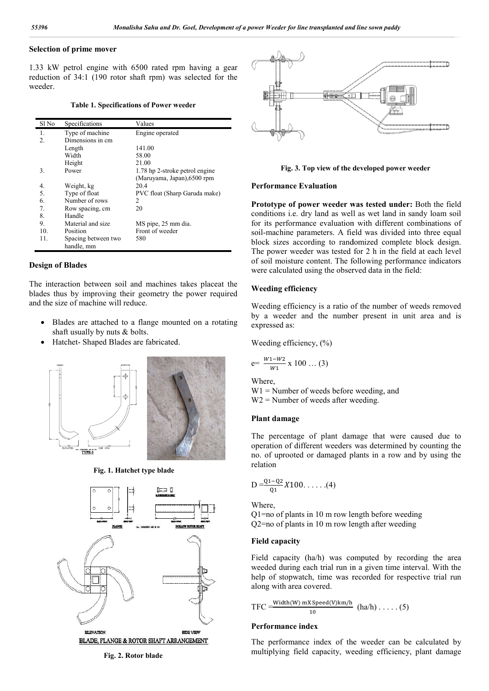### **Selection of prime mover**

1.33 kW petrol engine with 6500 rated rpm having a gear reduction of 34:1 (190 rotor shaft rpm) was selected for the weeder.

| <b>Table 1. Specifications of Power weeder</b> |  |  |
|------------------------------------------------|--|--|
|------------------------------------------------|--|--|

| Sl No        | Specifications                    | Values                         |
|--------------|-----------------------------------|--------------------------------|
| 1.           | Type of machine                   | Engine operated                |
| $\mathbf{2}$ | Dimensions in cm                  |                                |
|              | Length                            | 141.00                         |
|              | Width                             | 58.00                          |
|              | Height                            | 21.00                          |
| 3.           | Power                             | 1.78 hp 2-stroke petrol engine |
|              |                                   | (Maruyama, Japan), 6500 rpm    |
| 4.           | Weight, kg                        | 20.4                           |
| 5.           | Type of float                     | PVC float (Sharp Garuda make)  |
| 6.           | Number of rows                    | 2                              |
| 7.           | Row spacing, cm                   | 20                             |
| 8.           | Handle                            |                                |
| 9.           | Material and size                 | MS pipe, 25 mm dia.            |
| 10.          | Position                          | Front of weeder                |
| 11.          | Spacing between two<br>handle, mm | 580                            |

### **Design of Blades**

The interaction between soil and machines takes placeat the blades thus by improving their geometry the power required and the size of machine will reduce.

- Blades are attached to a flange mounted on a rotating shaft usually by nuts & bolts.
- Hatchet- Shaped Blades are fabricated.



**Fig. 1. Hatchet type blade**





**Fig. 3. Top view of the developed power weeder**

#### **Performance Evaluation**

Fig. 3. Top view of the developed power weeder<br>Performance Evaluation<br>Prototype of power weeder was tested under: Both the field conditions i.e. dry land as well as wet land in sandy loam soil for its performance evaluation with different combinations of soil-machine parameters. A field was divided into three equal block sizes according to randomized complete block design. The power weeder was tested for 2 h in the field at each level of soil moisture content. The following performance indicators were calculated using the observed data in the field: dry and as well as wet land in sandy loam s<br>its performance evaluation with different combinations<br>1-machine parameters. A field was divided into three eq<br>ock sizes according to randomized complete block desig<br>e power wee

#### **Weeding efficiency**

Weeding efficiency is a ratio of the number of weeds removed by a weeder and the number present in unit area and is expressed as:

Weeding efficiency, 
$$
(\%
$$
)

$$
e = \frac{w_1 - w_2}{w_1} \times 100 \dots (3)
$$

Where, W1 = Number of weeds before weeding, and  $W2$  = Number of weeds after weeding.

#### **Plant damage**

The percentage of plant damage that were caused due to operation of different weeders was determined by counting the no. of uprooted or damaged plants in a r relation percentage of plant damage that were caused due to<br>tion of different weeders was determined by counting the<br>f uprooted or damaged plants in a row and by using the

$$
D = \frac{Q_1 - Q_2}{Q_1} X 100 \dots (4)
$$

Where,

Q1=no of plants in 10 m row length before weeding Q2=no of plants in 10 m row length after weeding

#### **Field capacity**

Field capacity (ha/h) was computed by recording the area weeded during each trial run in a given time interval. With the help of stopwatch, time was recorded for respective trial run along with area covered. plants in 10 m row length before weeding<br>plants in 10 m row length after weeding<br>acity<br>acity<br>da/h) was computed by recordin<br>uring each trial run in a given time interva<br>opwatch, time was recorded for respective<br>area cover

$$
TFC = \frac{\text{Width}(W) \text{ mX Speed}(V) \text{ km/h}}{10} \text{ (ha/h)} \dots \dots \text{ (5)}
$$

#### **Performance index**

The performance index of the weeder can be calculated by multiplying field capacity, weeding efficiency, plant damage